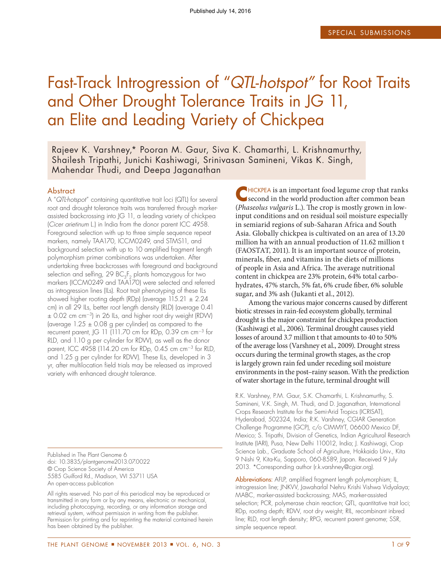# Fast-Track Introgression of "QTL-hotspot" for Root Traits and Other Drought Tolerance Traits in JG 11, an Elite and Leading Variety of Chickpea

Rajeev K. Varshney,\* Pooran M. Gaur, Siva K. Chamarthi, L. Krishnamurthy, Shailesh Tripathi, Junichi Kashiwagi, Srinivasan Samineni, Vikas K. Singh, Mahendar Thudi, and Deepa Jaganathan

#### **Abstract**

A "QTL-hotspot" containing quantitative trait loci (QTL) for several root and drought tolerance traits was transferred through markerassisted backcrossing into JG 11, a leading variety of chickpea (Cicer arietinum L.) in India from the donor parent ICC 4958. Foreground selection with up to three simple sequence repeat markers, namely TAA170, ICCM0249, and STMS11, and background selection with up to 10 amplified fragment length polymorphism primer combinations was undertaken. After undertaking three backcrosses with foreground and background selection and selfing, 29  $\mathsf{BC}_3\mathsf{F}_2$  plants homozygous for two markers (ICCM0249 and TAA170) were selected and referred as introgression lines (ILs). Root trait phenotyping of these ILs showed higher rooting depth (RDp) (average  $115.21 \pm 2.24$ cm) in all 29 ILs, better root length density (RLD) (average 0.41  $\pm$  0.02 cm cm<sup>-3</sup>) in 26 ILs, and higher root dry weight (RDW) (average  $1.25 \pm 0.08$  g per cylinder) as compared to the recurrent parent, JG 11 (111.70 cm for RDp, 0.39 cm cm-<sup>3</sup> for RLD, and 1.10 g per cylinder for RDW), as well as the donor parent, ICC 4958 (114.20 cm for RDp, 0.45 cm cm-<sup>3</sup> for RLD, and 1.25 g per cylinder for RDW). These ILs, developed in 3 yr, after multilocation field trials may be released as improved variety with enhanced drought tolerance.

Published in The Plant Genome 6 doi: 10.3835/plantgenome2013.07.0022 © Crop Science Society of America 5585 Guilford Rd., Madison, WI 53711 USA An open-access publication

All rights reserved. No part of this periodical may be reproduced or transmitted in any form or by any means, electronic or mechanical, including photocopying, recording, or any information storage and retrieval system, without permission in writing from the publisher. Permission for printing and for reprinting the material contained herein has been obtained by the publisher.

**C**HICKPEA is an important food legume crop that ranks<br>
second in the world production after common bean second in the world production after common bean (Phaseolus vulgaris L.). The crop is mostly grown in lowinput conditions and on residual soil moisture especially in semiarid regions of sub-Saharan Africa and South Asia. Globally chickpea is cultivated on an area of 13.20 million ha with an annual production of 11.62 million t (FAOSTAT, 2011). It is an important source of protein, minerals, fiber, and vitamins in the diets of millions of people in Asia and Africa. The average nutritional content in chickpea are 23% protein, 64% total carbohydrates, 47% starch, 5% fat, 6% crude fiber, 6% soluble sugar, and 3% ash (Jukanti et al., 2012).

Among the various major concerns caused by diferent biotic stresses in rain-fed ecosystem globally, terminal drought is the major constraint for chickpea production (Kashiwagi et al., 2006). Terminal drought causes yield losses of around 3.7 million t that amounts to 40 to 50% of the average loss (Varshney et al., 2009). Drought stress occurs during the terminal growth stages, as the crop is largely grown rain fed under receding soil moisture environments in the post–rainy season. With the prediction of water shortage in the future, terminal drought will

R.K. Varshney, P.M. Gaur, S.K. Chamarthi, L. Krishnamurthy, S. Samineni, V.K. Singh, M. Thudi, and D. Jaganathan, International Crops Research Institute for the Semi-Arid Tropics (ICRISAT), Hyderabad, 502324, India; R.K. Varshney, CGIAR Generation Challenge Programme (GCP), c/o CIMMYT, 06600 Mexico DF, Mexico; S. Tripathi, Division of Genetics, Indian Agricultural Research Institute (IARI), Pusa, New Delhi 110012, India; J. Kashiwagi, Crop Science Lab., Graduate School of Agriculture, Hokkaido Univ., Kita 9 Nishi 9, Kita-Ku, Sapporo, 060-8589, Japan. Received 9 July 2013. \*Corresponding author [\(r.k.varshney@cgiar.org\)](mailto:r.k.varshney@cgiar.org).

Abbreviations: AFLP, amplified fragment length polymorphism; IL, introgression line; JNKVV, Jawaharlal Nehru Krishi Vishwa Vidyalaya; MABC, marker-assisted backcrossing; MAS, marker-assisted selection; PCR, polymerase chain reaction; QTL, quantitative trait loci; RDp, rooting depth; RDW, root dry weight; RIL, recombinant inbred line; RLD, root length density; RPG, recurrent parent genome; SSR, simple sequence repeat.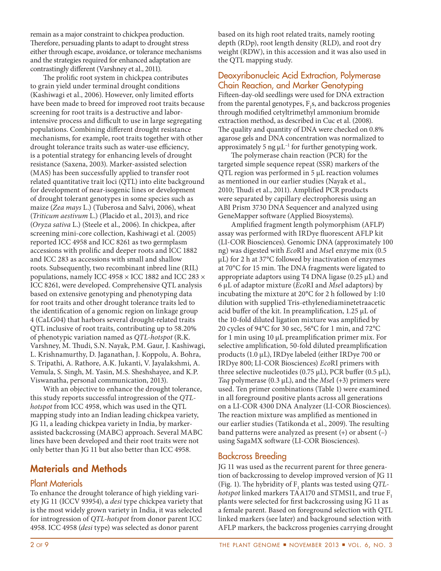remain as a major constraint to chickpea production. herefore, persuading plants to adapt to drought stress either through escape, avoidance, or tolerance mechanisms and the strategies required for enhanced adaptation are contrastingly diferent (Varshney et al., 2011).

The prolific root system in chickpea contributes to grain yield under terminal drought conditions (Kashiwagi et al., 2006). However, only limited eforts have been made to breed for improved root traits because screening for root traits is a destructive and laborintensive process and difficult to use in large segregating populations. Combining diferent drought resistance mechanisms, for example, root traits together with other drought tolerance traits such as water-use efficiency, is a potential strategy for enhancing levels of drought resistance (Saxena, 2003). Marker-assisted selection (MAS) has been successfully applied to transfer root related quantitative trait loci (QTL) into elite background for development of near-isogenic lines or development of drought tolerant genotypes in some species such as maize (Zea mays L.) (Tuberosa and Salvi, 2006), wheat (Triticum aestivum L.) (Placido et al., 2013), and rice (Oryza sativa L.) (Steele et al., 2006). In chickpea, ater screening mini-core collection, Kashiwagi et al. (2005) reported ICC 4958 and ICC 8261 as two germplasm accessions with prolific and deeper roots and ICC 1882 and ICC 283 as accessions with small and shallow roots. Subsequently, two recombinant inbred line (RIL) populations, namely ICC 4958 × ICC 1882 and ICC 283 × ICC 8261, were developed. Comprehensive QTL analysis based on extensive genotyping and phenotyping data for root traits and other drought tolerance traits led to the identification of a genomic region on linkage group 4 (CaLG04) that harbors several drought-related traits QTL inclusive of root traits, contributing up to 58.20% of phenotypic variation named as QTL-hotspot (R.K. Varshney, M. Thudi, S.N. Nayak, P.M. Gaur, J. Kashiwagi, L. Krishnamurthy, D. Jaganathan, J. Koppolu, A. Bohra, S. Tripathi, A. Rathore, A.K. Jukanti, V. Jayalakshmi, A. Vemula, S. Singh, M. Yasin, M.S. Sheshshayee, and K.P. Viswanatha, personal communication, 2013).

With an objective to enhance the drought tolerance, this study reports successful introgression of the QTLhotspot from ICC 4958, which was used in the QTL mapping study into an Indian leading chickpea variety, JG 11, a leading chickpea variety in India, by markerassisted backcrossing (MABC) approach. Several MABC lines have been developed and their root traits were not only better than JG 11 but also better than ICC 4958.

## Materials and Methods

#### Plant Materials

To enhance the drought tolerance of high yielding variety JG 11 (ICCV 93954), a desi type chickpea variety that is the most widely grown variety in India, it was selected for introgression of QTL-hotspot from donor parent ICC 4958. ICC 4958 (desi type) was selected as donor parent

based on its high root related traits, namely rooting depth (RDp), root length density (RLD), and root dry weight (RDW), in this accession and it was also used in the QTL mapping study.

#### Deoxyribonucleic Acid Extraction, Polymerase Chain Reaction, and Marker Genotyping

Fiteen-day-old seedlings were used for DNA extraction from the parental genotypes,  $F_1$ s, and backcross progenies through modified cetyltrimethyl ammonium bromide extraction method, as described in Cuc et al. (2008). he quality and quantity of DNA were checked on 0.8% agarose gels and DNA concentration was normalized to approximately 5 ng  $\mu$ L<sup>-1</sup> for further genotyping work.

he polymerase chain reaction (PCR) for the targeted simple sequence repeat (SSR) markers of the QTL region was performed in 5 μL reaction volumes as mentioned in our earlier studies (Nayak et al., 2010; Thudi et al., 2011). Amplified PCR products were separated by capillary electrophoresis using an ABI Prism 3730 DNA Sequencer and analyzed using GeneMapper sotware (Applied Biosystems).

Amplified fragment length polymorphism (AFLP) assay was performed with IRDye fluorescent AFLP kit (LI-COR Biosciences). Genomic DNA (approximately 100 ng) was digested with EcoRI and MseI enzyme mix (0.5 μL) for 2 h at 37°C followed by inactivation of enzymes at  $70^{\circ}$ C for 15 min. The DNA fragments were ligated to appropriate adaptors using T4 DNA ligase (0.25 μL) and 6 μL of adaptor mixture (EcoRI and MseI adaptors) by incubating the mixture at 20°C for 2 h followed by 1:10 dilution with supplied Tris-ethylenediaminetetraacetic acid buffer of the kit. In preamplification,  $1.25 \mu L$  of the 10-fold diluted ligation mixture was amplified by 20 cycles of 94°C for 30 sec, 56°C for 1 min, and 72°C for 1 min using 10 μL preampliication primer mix. For selective amplification, 50-fold diluted preamplification products (1.0 μL), IRDye labeled (either IRDye 700 or IRDye 800; LI-COR Biosciences) EcoRI primers with three selective nucleotides (0.75  $\mu$ L), PCR buffer (0.5  $\mu$ L), Taq polymerase (0.3  $\mu$ L), and the *MseI* (+3) primers were used. Ten primer combinations (Table 1) were examined in all foreground positive plants across all generations on a LI-COR 4300 DNA Analyzer (LI-COR Biosciences). The reaction mixture was amplified as mentioned in our earlier studies (Tatikonda et al., 2009). The resulting band patterns were analyzed as present (+) or absent (–) using SagaMX sotware (LI-COR Biosciences).

## Backcross Breeding

JG 11 was used as the recurrent parent for three generation of backcrossing to develop improved version of JG 11 (Fig. 1). The hybridity of  $F_1$  plants was tested using QTLhotspot linked markers TAA170 and STMS11, and true  $F_1$ plants were selected for first backcrossing using JG 11 as a female parent. Based on foreground selection with QTL linked markers (see later) and background selection with AFLP markers, the backcross progenies carrying drought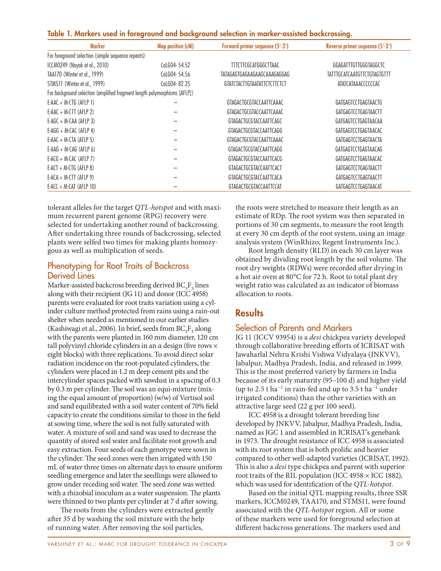|  |  |  |  | Table 1. Markers used in foreground and background selection in marker-assisted backcrossing. |
|--|--|--|--|-----------------------------------------------------------------------------------------------|
|  |  |  |  |                                                                                               |

| <b>Marker</b>                                                             | Map position (cM) | Forward primer sequence (5'-3') | Reverse primer sequence (5'-3') |  |  |  |  |
|---------------------------------------------------------------------------|-------------------|---------------------------------|---------------------------------|--|--|--|--|
| For foreground selection (simple sequence repeats)                        |                   |                                 |                                 |  |  |  |  |
| ICCM0249 (Nayak et al., 2010)                                             | CaLG04-54.52      | <b>TTTCTTCGCATGGGCTTAAC</b>     | GGAGATTTGTTGGGTAGGCTC           |  |  |  |  |
| TAA170 (Winter et al., 1999)                                              | CaLGO4-54.56      | TATAGAGTGAGAAGAAGCAAAGAGGAG     | TATTTGCATCAATGTTCTGTAGTGTTT     |  |  |  |  |
| STMS11 (Winter et al., 1999)                                              | CaLG04-82.25      | GTATCTACTTGTAATATTCTCTTCTCT     | ATATCATAAACCCCCCAC              |  |  |  |  |
| For background selection (amplified fragment length polymorphisms [AFLP]) |                   |                                 |                                 |  |  |  |  |
| $E-AAC + M-CTG$ (AFLP 1)                                                  |                   | GTAGACTGCGTACCAATTCAAAC         | GATGAGTCCTGAGTAACTG             |  |  |  |  |
| $E$ -AAC + M-CTT (AFLP 2)                                                 |                   | GTAGACTGCGTACCAATTCAAAC         | GATGAGTCCTGAGTAACTT             |  |  |  |  |
| $E-AGC + M-CAA$ (AFLP 3)                                                  |                   | GTAGACTGCGTACCAATTCAGC          | GATGAGTCCTGAGTAACAA             |  |  |  |  |
| $E-AGG + M-CAC$ (AFLP 4)                                                  |                   | GTAGACTGCGTACCAATTCAGG          | GATGAGTCCTGAGTAACAC             |  |  |  |  |
| $E$ -AAC + M-CTA (AFLP 5)                                                 |                   | GTAGACTGCGTACCAATTCAAAC         | GATGAGTCCTGAGTAACTA             |  |  |  |  |
| $E-AAG + M-CAG$ (AFLP 6)                                                  |                   | GTAGACTGCGTACCAATTCAGG          | GATGAGTCCTGAGTAACAG             |  |  |  |  |
| $E-ACG + M-CAC$ (AFLP 7)                                                  |                   | GTAGACTGCGTACCAATTCACG          | GATGAGTCCTGAGTAACAC             |  |  |  |  |
| E-ACT + M-CTG (AFLP $8$ )                                                 |                   | GTAGACTGCGTACCAATTCACT          | GATGAGTCCTGAGTAACTT             |  |  |  |  |
| $E-ACA + M-CTT$ (AFLP 9)                                                  |                   | GTAGACTGCGTACCAATTCACA          | GATGAGTCCTGAGTAACTT             |  |  |  |  |
| $E-ACC + M-CAT (AFLP 10)$                                                 |                   | GTAGACTGCGTACCAATTCCAT          | GATGAGTCCTGAGTAACAT             |  |  |  |  |

tolerant alleles for the target QTL-hotspot and with maximum recurrent parent genome (RPG) recovery were selected for undertaking another round of backcrossing. Ater undertaking three rounds of backcrossing, selected plants were selfed two times for making plants homozygous as well as multiplication of seeds.

#### Phenotyping for Root Traits of Backcross Derived Lines

Marker-assisted backcross breeding derived  $BC_3F_3$  lines along with their recipient (JG 11) and donor (ICC 4958) parents were evaluated for root traits variation using a cylinder culture method protected from rains using a rain-out shelter when needed as mentioned in our earlier studies (Kashiwagi et al., 2006). In brief, seeds from  $BC_3F_3$  along with the parents were planted in 160 mm diameter, 120 cm tall polyvinyl chloride cylinders in an  $\alpha$  design (five rows  $\times$ eight blocks) with three replications. To avoid direct solar radiation incidence on the root-populated cylinders, the cylinders were placed in 1.2 m deep cement pits and the intercylinder spaces packed with sawdust in a spacing of 0.3 by 0.3 m per cylinder. The soil was an equi-mixture (mixing the equal amount of proportion) (w/w) of Vertisol soil and sand equilibrated with a soil water content of 70% field capacity to create the conditions similar to those in the field at sowing time, where the soil is not fully saturated with water. A mixture of soil and sand was used to decrease the quantity of stored soil water and facilitate root growth and easy extraction. Four seeds of each genotype were sown in the cylinder. The seed zones were then irrigated with 150 mL of water three times on alternate days to ensure uniform seedling emergence and later the seedlings were allowed to grow under receding soil water. The seed zone was wetted with a rhizobial inoculum as a water suspension. The plants were thinned to two plants per cylinder at 7 d after sowing.

he roots from the cylinders were extracted gently ater 35 d by washing the soil mixture with the help of running water. Ater removing the soil particles,

the roots were stretched to measure their length as an estimate of RDp. The root system was then separated in portions of 30 cm segments, to measure the root length at every 30 cm depth of the root system, using an image analysis system (WinRhizo; Regent Instruments Inc.).

Root length density (RLD) in each 30 cm layer was obtained by dividing root length by the soil volume. The root dry weights (RDWs) were recorded after drying in a hot air oven at 80°C for 72 h. Root to total plant dry weight ratio was calculated as an indicator of biomass allocation to roots.

# **Results**

## Selection of Parents and Markers

JG 11 (ICCV 93954) is a desi chickpea variety developed through collaborative breeding eforts of ICRISAT with Jawaharlal Nehru Krishi Vishwa Vidyalaya (JNKVV), Jabalpur, Madhya Pradesh, India, and released in 1999. his is the most preferred variety by farmers in India because of its early maturity (95–100 d) and higher yield (up to 2.5 t ha<sup>-1</sup> in rain-fed and up to 3.5 t ha<sup>-1</sup> under irrigated conditions) than the other varieties with an attractive large seed (22 g per 100 seed).

ICC 4958 is a drought tolerant breeding line developed by JNKVV, Jabalpur, Madhya Pradesh, India, named as JGC 1 and assembled in ICRISAT's genebank in 1973. The drought resistance of ICC 4958 is associated with its root system that is both prolific and heavier compared to other well-adapted varieties (ICRISAT, 1992). This is also a *desi* type chickpea and parent with superior root traits of the RIL population (ICC 4958 × ICC 1882), which was used for identification of the QTL-hotspot.

Based on the initial QTL mapping results, three SSR markers, ICCM0249, TAA170, and STMS11, were found associated with the QTL-hotspot region. All or some of these markers were used for foreground selection at different backcross generations. The markers used and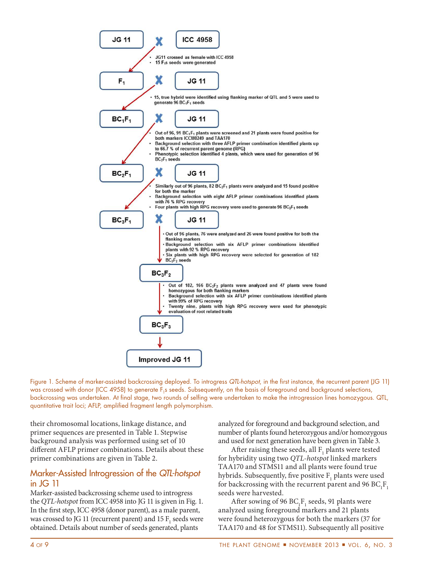

Figure 1. Scheme of marker-assisted backcrossing deployed. To introgress QTL-hotspot, in the first instance, the recurrent parent (JG 11) was crossed with donor (ICC 4958) to generate F<sub>1</sub>s seeds. Subsequently, on the basis of foreground and background selections, backcrossing was undertaken. At final stage, two rounds of selfing were undertaken to make the introgression lines homozygous. QTL, quantitative trait loci; AFLP, amplified fragment length polymorphism.

their chromosomal locations, linkage distance, and primer sequences are presented in Table 1. Stepwise background analysis was performed using set of 10 diferent AFLP primer combinations. Details about these primer combinations are given in Table 2.

#### Marker-Assisted Introgression of the QTL-hotspot in JG 11

Marker-assisted backcrossing scheme used to introgress the QTL-hotspot from ICC 4958 into JG 11 is given in Fig. 1. In the first step, ICC 4958 (donor parent), as a male parent, was crossed to JG 11 (recurrent parent) and 15  $F_1$  seeds were obtained. Details about number of seeds generated, plants

analyzed for foreground and background selection, and number of plants found heterozygous and/or homozygous and used for next generation have been given in Table 3.

After raising these seeds, all  $F_1$  plants were tested for hybridity using two QTL-hotspot linked markers TAA170 and STMS11 and all plants were found true hybrids. Subsequently, five positive  $F_1$  plants were used for backcrossing with the recurrent parent and 96  $BC_1F_1$ seeds were harvested.

After sowing of 96  $BC_1F_1$  seeds, 91 plants were analyzed using foreground markers and 21 plants were found heterozygous for both the markers (37 for TAA170 and 48 for STMS11). Subsequently all positive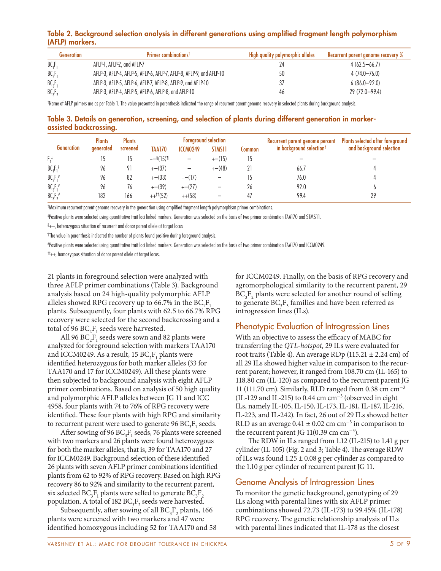#### Table 2. Background selection analysis in different generations using ampliied fragment length polymorphism (AFLP) markers.

| Generation                     | <b>Primer combinations<sup>t</sup></b>                              | High quality polymorphic alleles | Recurrent parent genome recovery % |
|--------------------------------|---------------------------------------------------------------------|----------------------------------|------------------------------------|
| BC <sub>1</sub> F              | AFLP-1, AFLP-2, and AFLP-7                                          |                                  | $4(62.5 - 66.7)$                   |
| BC <sub>2</sub> F <sub>2</sub> | AFLP-3, AFLP-4, AFLP-5, AFLP-6, AFLP-7, AFLP-8, AFLP-9, and AFLP-10 | 50                               | $4(74.0 - 76.0)$                   |
| BC <sub>3</sub> F <sub>3</sub> | AFLP-3, AFLP-5, AFLP-6, AFLP-7, AFLP-8, AFLP-9, and AFLP-10         | 37                               | $6(86.0-92.0)$                     |
| BC <sub>3</sub> F              | AFLP-3, AFLP-4, AFLP-5, AFLP-6, AFLP-8, and AFLP-10                 | 46                               | 29 (72.0-99.4)                     |

† Name of AFLP primers are as per Table 1. The value presented in parenthesis indicated the range of recurrent parent genome recovery in selected plants during background analysis.

#### Table 3. Details on generation, screening, and selection of plants during different generation in markerassisted backcrossing.

|                   | <b>Plants</b> | <b>Plants</b> |                         | <b>Foreground selection</b> |               |        | Recurrent parent genome percent      | Plants selected after foreground |
|-------------------|---------------|---------------|-------------------------|-----------------------------|---------------|--------|--------------------------------------|----------------------------------|
| <b>Generation</b> | generated     | screened      | TAA170                  | <b>ICCM0249</b>             | <b>STMS11</b> | Common | in background selection <sup>†</sup> | and background selection         |
| $F^{\ddagger}$    |               |               | $+-$ §(15)¶             |                             | $+-(15)$      |        |                                      |                                  |
| $BC_1F_1^*$       | 96            |               | $+-(37)$                |                             | $+-(48)$      |        | 66.7                                 |                                  |
| $BC_2F_1^*$       | 96            | 82            | $+-(33)$                | $+-(17)$                    |               |        | 76.0                                 |                                  |
| $BC_{3}F_{1}^{*}$ | 96            | 76            | $+-(39)$                | $+-(27)$                    |               | 26     | 92.0                                 |                                  |
| $BC_3F_2^*$       | 182           | 166           | $++$ <sup>††</sup> (52) | $++(58)$                    |               |        | 99.4                                 | 29                               |

†Maximum recurrent parent genome recovery in the generation using amplified fragment length polymorphism primer combinations.

‡ Positive plants were selected using quantitative trait loci linked markers. Generation was selected on the basis of two primer combination TAA170 and STMS11.

 $\S_{+-}$ , heterozygous situation of recurrent and donor parent allele at target locus

¶ The value in parenthesis indicated the number of plants found positive during foreground analysis.

# Positive plants were selected using quantitative trait loci linked markers. Generation was selected on the basis of two primer combination TAA170 and ICCM0249.

 $^{\dagger\dagger}$ ++, homozygous situation of donor parent allele at target locus.

21 plants in foreground selection were analyzed with three AFLP primer combinations (Table 3). Background analysis based on 24 high-quality polymorphic AFLP alleles showed RPG recovery up to 66.7% in the  $BC_1F_1$ plants. Subsequently, four plants with 62.5 to 66.7% RPG recovery were selected for the second backcrossing and a total of 96  $BC_2F_1$  seeds were harvested.

All 96  $BC_2F_1$  seeds were sown and 82 plants were analyzed for foreground selection with markers TAA170 and ICCM0249. As a result,  $15 BC<sub>2</sub>F<sub>1</sub>$  plants were identified heterozygous for both marker alleles (33 for TAA170 and 17 for ICCM0249). All these plants were then subjected to background analysis with eight AFLP primer combinations. Based on analysis of 50 high quality and polymorphic AFLP alleles between JG 11 and ICC 4958, four plants with 74 to 76% of RPG recovery were identified. These four plants with high RPG and similarity to recurrent parent were used to generate  $96 \text{ BC}_3\text{F}_1$  seeds.

After sowing of 96  $BC_3F_1$  seeds, 76 plants were screened with two markers and 26 plants were found heterozygous for both the marker alleles, that is, 39 for TAA170 and 27 for ICCM0249. Background selection of these identified 26 plants with seven AFLP primer combinations identified plants from 62 to 92% of RPG recovery. Based on high RPG recovery 86 to 92% and similarity to the recurrent parent, six selected BC<sub>3</sub>F<sub>1</sub> plants were selfed to generate BC<sub>3</sub>F<sub>2</sub> population. A total of  $182 \text{ BC}_3\text{F}_2$  seeds were harvested.

Subsequently, after sowing of all  $BC_3F_2$  plants, 166 plants were screened with two markers and 47 were identified homozygous including 52 for TAA170 and 58 for ICCM0249. Finally, on the basis of RPG recovery and agromorphological similarity to the recurrent parent, 29  $BC_3F_2$  plants were selected for another round of selfing to generate  $BC_3F_3$  families and have been referred as introgression lines (ILs).

## Phenotypic Evaluation of Introgression Lines

With an objective to assess the efficacy of MABC for transferring the QTL-hotspot, 29 ILs were evaluated for root traits (Table 4). An average RDp (115.21  $\pm$  2.24 cm) of all 29 ILs showed higher value in comparison to the recurrent parent; however, it ranged from 108.70 cm (IL-165) to 118.80 cm (IL-120) as compared to the recurrent parent JG 11 (111.70 cm). Similarly, RLD ranged from 0.38 cm  $cm^{-3}$ (IL-129 and IL-215) to 0.44 cm  $cm^{-3}$  (observed in eight ILs, namely IL-105, IL-150, IL-173, IL-181, IL-187, IL-216, IL-223, and IL-242). In fact, 26 out of 29 ILs showed better RLD as an average  $0.41 \pm 0.02$  cm cm<sup>-3</sup> in comparison to the recurrent parent JG  $11(0.39 \text{ cm cm}^{-3})$ .

he RDW in ILs ranged from 1.12 (IL-215) to 1.41 g per cylinder (IL-105) (Fig. 2 and 3; Table 4). The average RDW of ILs was found  $1.25 \pm 0.08$  g per cylinder as compared to the 1.10 g per cylinder of recurrent parent JG 11.

#### Genome Analysis of Introgression Lines

To monitor the genetic background, genotyping of 29 ILs along with parental lines with six AFLP primer combinations showed 72.73 (IL-173) to 99.45% (IL-178) RPG recovery. The genetic relationship analysis of ILs with parental lines indicated that IL-178 as the closest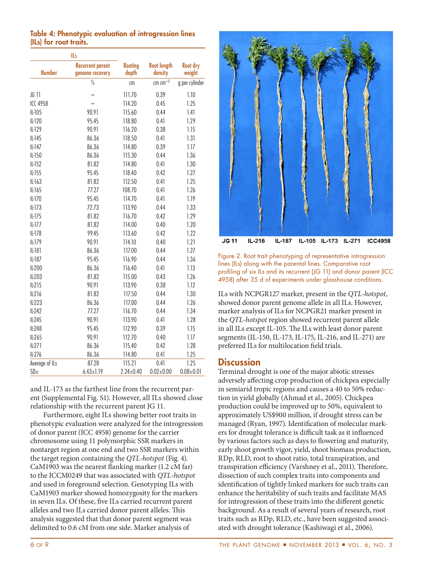|                 | ILs                                        |                         |                               |                    |  |
|-----------------|--------------------------------------------|-------------------------|-------------------------------|--------------------|--|
| <b>Number</b>   | <b>Recurrent parent</b><br>genome recovery | <b>Rooting</b><br>depth | <b>Root length</b><br>density | Root dry<br>weight |  |
|                 | $\frac{0}{0}$                              | cm                      | $cm$ $cm^{-3}$                | g per cylinder     |  |
| JG 11           |                                            | 111.70                  | 0.39                          | 1.10               |  |
| <b>ICC 4958</b> |                                            | 114.20                  | 0.45                          | 1.25               |  |
| IL-105          | 90.91                                      | 115.60                  | 0.44                          | 1.41               |  |
| $IL-120$        | 95.45                                      | 118.80                  | 0.41                          | 1.29               |  |
| $IL-129$        | 90.91                                      | 116.20                  | 0.38                          | 1.15               |  |
| $IL-145$        | 86.36                                      | 118.50                  | 0.41                          | 1.31               |  |
| $IL-147$        | 86.36                                      | 114.80                  | 0.39                          | 1.17               |  |
| IL-150          | 86.36                                      | 115.30                  | 0.44                          | 1.36               |  |
| $IL-152$        | 81.82                                      | 114.80                  | 0.41                          | 1.30               |  |
| $IL-155$        | 95.45                                      | 118.40                  | 0.42                          | 1.27               |  |
| IL-163          | 81.82                                      | 112.50                  | 0.41                          | 1.25               |  |
| IL-165          | 77.27                                      | 108.70                  | 0.41                          | 1.26               |  |
| $IL-170$        | 95.45                                      | 114.70                  | 0.41                          | 1.19               |  |
| $IL-173$        | 72.73                                      | 113.90                  | 0.44                          | 1.33               |  |
| $IL-175$        | 81.82                                      | 116.70                  | 0.42                          | 1.29               |  |
| $IL-177$        | 81.82                                      | 114.00                  | 0.40                          | 1.20               |  |
| IL-178          | 99.45                                      | 113.60                  | 0.42                          | 1.22               |  |
| $IL-179$        | 90.91                                      | 114.10                  | 0.40                          | 1.21               |  |
| $IL-181$        | 86.36                                      | 117.00                  | 0.44                          | 1.27               |  |
| IL-187          | 95.45                                      | 116.90                  | 0.44                          | 1.36               |  |
| IL-200          | 86.36                                      | 116.40                  | 0.41                          | 1.13               |  |
| IL-203          | 81.82                                      | 115.00                  | 0.43                          | 1.26               |  |
| $IL-215$        | 90.91                                      | 113.90                  | 0.38                          | 1.12               |  |
| $IL-216$        | 81.82                                      | 117.50                  | 0.44                          | 1.30               |  |
| IL-223          | 86.36                                      | 117.00                  | 0.44                          | 1.26               |  |
| IL-242          | 77.27                                      | 116.70                  | 0.44                          | 1.34               |  |
| IL-245          | 90.91                                      | 113.90                  | 0.41                          | 1.28               |  |
| IL-248          | 95.45                                      | 112.90                  | 0.39                          | 1.15               |  |
| IL-265          | 90.91                                      | 112.70                  | 0.40                          | 1.17               |  |
| IL271           | 86.36                                      | 115.40                  | 0.42                          | 1.28               |  |
| IL-276          | 86.36                                      | 114.80                  | 0.41                          | 1.25               |  |
| Average of ILs  | 87.28                                      | 115.21                  | 0.41                          | 1.25               |  |
| SD <sub>±</sub> | $6.43 \pm 1.19$                            | $2.24 \pm 0.40$         | $0.02 \pm 0.00$               | $0.08 + 0.01$      |  |

Table 4: Phenotypic evaluation of introgression lines (ILs) for root traits.

and IL-173 as the farthest line from the recurrent parent (Supplemental Fig. S1). However, all ILs showed close relationship with the recurrent parent JG 11.

Furthermore, eight ILs showing better root traits in phenotypic evaluation were analyzed for the introgression of donor parent (ICC 4958) genome for the carrier chromosome using 11 polymorphic SSR markers in nontarget region at one end and two SSR markers within the target region containing the QTL-hotspot (Fig. 4). CaM1903 was the nearest flanking marker (1.2 cM far) to the ICCM0249 that was associated with QTL-hotspot and used in foreground selection. Genotyping ILs with CaM1903 marker showed homozygosity for the markers in seven ILs. Of these, five ILs carried recurrent parent alleles and two ILs carried donor parent alleles. This analysis suggested that that donor parent segment was delimited to 0.6 cM from one side. Marker analysis of



Figure 2. Root trait phenotyping of representative introgression lines (ILs) along with the parental lines. Comparative root profiling of six ILs and its recurrent (JG 11) and donor parent (ICC 4958) after 35 d of experiments under glasshouse conditions.

ILs with NCPGR127 marker, present in the QTL-hotspot, showed donor parent genome allele in all ILs. However, marker analysis of ILs for NCPGR21 marker present in the QTL-hotspot region showed recurrent parent allele in all ILs except IL-105. The ILs with least donor parent segments (IL-150, IL-173, IL-175, IL-216, and IL-271) are preferred ILs for multilocation field trials.

#### **Discussion**

Terminal drought is one of the major abiotic stresses adversely afecting crop production of chickpea especially in semiarid tropic regions and causes a 40 to 50% reduction in yield globally (Ahmad et al., 2005). Chickpea production could be improved up to 50%, equivalent to approximately US\$900 million, if drought stress can be managed (Ryan, 1997). Identification of molecular markers for drought tolerance is difficult task as it influenced by various factors such as days to lowering and maturity, early shoot growth vigor, yield, shoot biomass production, RDp, RLD, root to shoot ratio, total transpiration, and transpiration efficiency (Varshney et al., 2011). Therefore, dissection of such complex traits into components and identification of tightly linked markers for such traits can enhance the heritability of such traits and facilitate MAS for introgression of these traits into the diferent genetic background. As a result of several years of research, root traits such as RDp, RLD, etc., have been suggested associated with drought tolerance (Kashiwagi et al., 2006).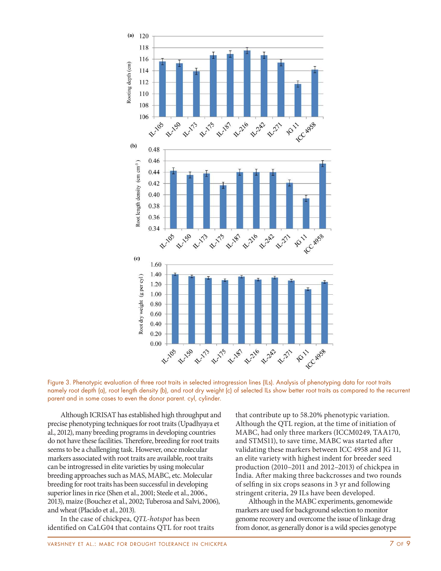



Although ICRISAT has established high throughput and precise phenotyping techniques for root traits (Upadhyaya et al., 2012), many breeding programs in developing countries do not have these facilities. Therefore, breeding for root traits seems to be a challenging task. However, once molecular markers associated with root traits are available, root traits can be introgressed in elite varieties by using molecular breeding approaches such as MAS, MABC, etc. Molecular breeding for root traits has been successful in developing superior lines in rice (Shen et al., 2001; Steele et al., 2006., 2013), maize (Bouchez et al., 2002; Tuberosa and Salvi, 2006), and wheat (Placido et al., 2013).

In the case of chickpea, QTL-hotspot has been identified on CaLG04 that contains QTL for root traits that contribute up to 58.20% phenotypic variation. Although the QTL region, at the time of initiation of MABC, had only three markers (ICCM0249, TAA170, and STMS11), to save time, MABC was started ater validating these markers between ICC 4958 and JG 11, an elite variety with highest indent for breeder seed production (2010–2011 and 2012–2013) of chickpea in India. Ater making three backcrosses and two rounds of seling in six crops seasons in 3 yr and following stringent criteria, 29 ILs have been developed.

Although in the MABC experiments, genomewide markers are used for background selection to monitor genome recovery and overcome the issue of linkage drag from donor, as generally donor is a wild species genotype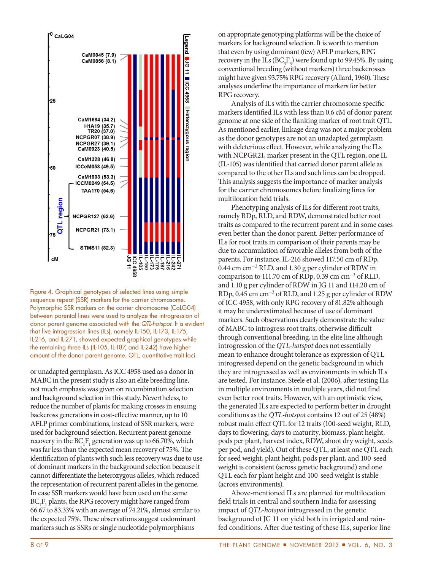

Figure 4. Graphical genotypes of selected lines using simple sequence repeat (SSR) markers for the carrier chromosome. Polymorphic SSR markers on the carrier chromosome (CaLG04) between parental lines were used to analyze the introgression of donor parent genome associated with the QTL-hotspot. It is evident that five introgression lines (ILs), namely IL-150, IL-173, IL-175, IL-216, and IL-271, showed expected graphical genotypes while the remaining three ILs (IL-105, IL-187, and IL-242) have higher amount of the donor parent genome. QTL, quantitative trait loci.

or unadapted germplasm. As ICC 4958 used as a donor in MABC in the present study is also an elite breeding line, not much emphasis was given on recombination selection and background selection in this study. Nevertheless, to reduce the number of plants for making crosses in ensuing backcross generations in cost-efective manner, up to 10 AFLP primer combinations, instead of SSR markers, were used for background selection. Recurrent parent genome recovery in the  $BC_1F_1$  generation was up to 66.70%, which was far less than the expected mean recovery of 75%. The identification of plants with such less recovery was due to use of dominant markers in the background selection because it cannot diferentiate the heterozygous alleles, which reduced the representation of recurrent parent alleles in the genome. In case SSR markers would have been used on the same  $BC_1F_1$  plants, the RPG recovery might have ranged from 66.67 to 83.33% with an average of 74.21%, almost similar to the expected 75%. These observations suggest codominant markers such as SSRs or single nucleotide polymorphisms

on appropriate genotyping platforms will be the choice of markers for background selection. It is worth to mention that even by using dominant (few) AFLP markers, RPG recovery in the ILs  $(BC_3F_3)$  were found up to 99.45%. By using conventional breeding (without markers) three backcrosses might have given 93.75% RPG recovery (Allard, 1960). These analyses underline the importance of markers for better RPG recovery.

Analysis of ILs with the carrier chromosome specific markers identified ILs with less than 0.6 cM of donor parent genome at one side of the lanking marker of root trait QTL. As mentioned earlier, linkage drag was not a major problem as the donor genotypes are not an unadapted germplasm with deleterious efect. However, while analyzing the ILs with NCPGR21, marker present in the QTL region, one IL (IL-105) was identiied that carried donor parent allele as compared to the other ILs and such lines can be dropped. his analysis suggests the importance of marker analysis for the carrier chromosomes before finalizing lines for multilocation field trials.

Phenotyping analysis of ILs for diferent root traits, namely RDp, RLD, and RDW, demonstrated better root traits as compared to the recurrent parent and in some cases even better than the donor parent. Better performance of ILs for root traits in comparison of their parents may be due to accumulation of favorable alleles from both of the parents. For instance, IL-216 showed 117.50 cm of RDp, 0.44 cm cm-<sup>3</sup> RLD, and 1.30 g per cylinder of RDW in comparison to 111.70 cm of RDp, 0.39 cm cm-<sup>3</sup> of RLD, and 1.10 g per cylinder of RDW in JG 11 and 114.20 cm of RDp, 0.45 cm cm-<sup>3</sup> of RLD, and 1.25 g per cylinder of RDW of ICC 4958, with only RPG recovery of 81.82% although it may be underestimated because of use of dominant markers. Such observations clearly demonstrate the value of MABC to introgress root traits, otherwise difficult through conventional breeding, in the elite line although introgression of the QTL-hotspot does not essentially mean to enhance drought tolerance as expression of QTL introgressed depend on the genetic background in which they are introgressed as well as environments in which ILs are tested. For instance, Steele et al. (2006), after testing ILs in multiple environments in multiple years, did not find even better root traits. However, with an optimistic view, the generated ILs are expected to perform better in drought conditions as the QTL-hotspot contains 12 out of 25 (48%) robust main efect QTL for 12 traits (100-seed weight, RLD, days to flowering, days to maturity, biomass, plant height, pods per plant, harvest index, RDW, shoot dry weight, seeds per pod, and yield). Out of these QTL, at least one QTL each for seed weight, plant height, pods per plant, and 100-seed weight is consistent (across genetic background) and one QTL each for plant height and 100-seed weight is stable (across environments).

Above-mentioned ILs are planned for multilocation field trials in central and southern India for assessing impact of QTL-hotspot introgressed in the genetic background of JG 11 on yield both in irrigated and rainfed conditions. Ater due testing of these ILs, superior line